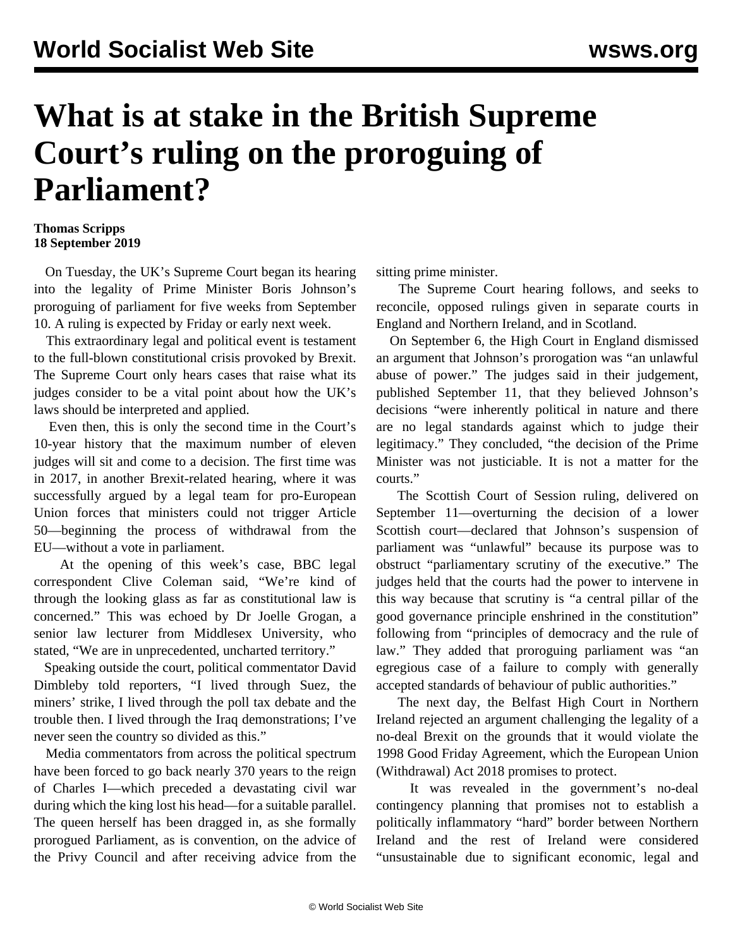## **What is at stake in the British Supreme Court's ruling on the proroguing of Parliament?**

## **Thomas Scripps 18 September 2019**

 On Tuesday, the UK's Supreme Court began its hearing into the legality of Prime Minister Boris Johnson's proroguing of parliament for five weeks from September 10. A ruling is expected by Friday or early next week.

 This extraordinary legal and political event is testament to the full-blown constitutional crisis provoked by Brexit. The Supreme Court only hears cases that raise what its judges consider to be a vital point about how the UK's laws should be interpreted and applied.

 Even then, this is only the second time in the Court's 10-year history that the maximum number of eleven judges will sit and come to a decision. The first time was in 2017, in another Brexit-related hearing, where it was successfully argued by a legal team for pro-European Union forces that ministers could not trigger Article 50—beginning the process of withdrawal from the EU—without a vote in parliament.

 At the opening of this week's case, BBC legal correspondent Clive Coleman said, "We're kind of through the looking glass as far as constitutional law is concerned." This was echoed by Dr Joelle Grogan, a senior law lecturer from Middlesex University, who stated, "We are in unprecedented, uncharted territory."

 Speaking outside the court, political commentator David Dimbleby told reporters, "I lived through Suez, the miners' strike, I lived through the poll tax debate and the trouble then. I lived through the Iraq demonstrations; I've never seen the country so divided as this."

 Media commentators from across the political spectrum have been forced to go back nearly 370 years to the reign of Charles I—which preceded a devastating civil war during which the king lost his head—for a suitable parallel. The queen herself has been dragged in, as she formally prorogued Parliament, as is convention, on the advice of the Privy Council and after receiving advice from the

sitting prime minister.

 The Supreme Court hearing follows, and seeks to reconcile, opposed rulings given in separate courts in England and Northern Ireland, and in Scotland.

 On September 6, the High Court in England dismissed an argument that Johnson's prorogation was "an unlawful abuse of power." The judges said in their judgement, published September 11, that they believed Johnson's decisions "were inherently political in nature and there are no legal standards against which to judge their legitimacy." They concluded, "the decision of the Prime Minister was not justiciable. It is not a matter for the courts."

 The Scottish Court of Session ruling, delivered on September 11—overturning the decision of a lower Scottish court—declared that Johnson's suspension of parliament was "unlawful" because its purpose was to obstruct "parliamentary scrutiny of the executive." The judges held that the courts had the power to intervene in this way because that scrutiny is "a central pillar of the good governance principle enshrined in the constitution" following from "principles of democracy and the rule of law." They added that proroguing parliament was "an egregious case of a failure to comply with generally accepted standards of behaviour of public authorities."

 The next day, the Belfast High Court in Northern Ireland rejected an argument challenging the legality of a no-deal Brexit on the grounds that it would violate the 1998 Good Friday Agreement, which the European Union (Withdrawal) Act 2018 promises to protect.

 It was revealed in the government's no-deal contingency planning that promises not to establish a politically inflammatory "hard" border between Northern Ireland and the rest of Ireland were considered "unsustainable due to significant economic, legal and